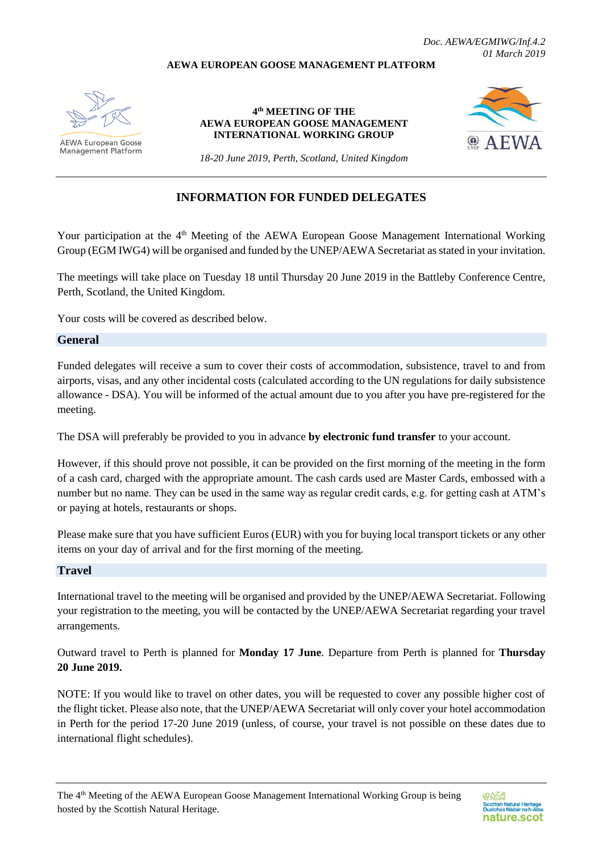# **AEWA EUROPEAN GOOSE MANAGEMENT PLATFORM**



AEWA European Goose Management Platform

**4 th MEETING OF THE AEWA EUROPEAN GOOSE MANAGEMENT INTERNATIONAL WORKING GROUP**



*18-20 June 2019, Perth, Scotland, United Kingdom*

# **INFORMATION FOR FUNDED DELEGATES**

Your participation at the 4<sup>th</sup> Meeting of the AEWA European Goose Management International Working Group (EGM IWG4) will be organised and funded by the UNEP/AEWA Secretariat as stated in your invitation.

The meetings will take place on Tuesday 18 until Thursday 20 June 2019 in the Battleby Conference Centre, Perth, Scotland, the United Kingdom.

Your costs will be covered as described below.

#### **General**

Funded delegates will receive a sum to cover their costs of accommodation, subsistence, travel to and from airports, visas, and any other incidental costs (calculated according to the UN regulations for daily subsistence allowance - DSA). You will be informed of the actual amount due to you after you have pre-registered for the meeting.

The DSA will preferably be provided to you in advance **by electronic fund transfer** to your account.

However, if this should prove not possible, it can be provided on the first morning of the meeting in the form of a cash card, charged with the appropriate amount. The cash cards used are Master Cards, embossed with a number but no name. They can be used in the same way as regular credit cards, e.g. for getting cash at ATM's or paying at hotels, restaurants or shops.

Please make sure that you have sufficient Euros (EUR) with you for buying local transport tickets or any other items on your day of arrival and for the first morning of the meeting.

# **Travel**

International travel to the meeting will be organised and provided by the UNEP/AEWA Secretariat. Following your registration to the meeting, you will be contacted by the UNEP/AEWA Secretariat regarding your travel arrangements.

Outward travel to Perth is planned for **Monday 17 June**. Departure from Perth is planned for **Thursday 20 June 2019.**

NOTE: If you would like to travel on other dates, you will be requested to cover any possible higher cost of the flight ticket. Please also note, that the UNEP/AEWA Secretariat will only cover your hotel accommodation in Perth for the period 17-20 June 2019 (unless, of course, your travel is not possible on these dates due to international flight schedules).